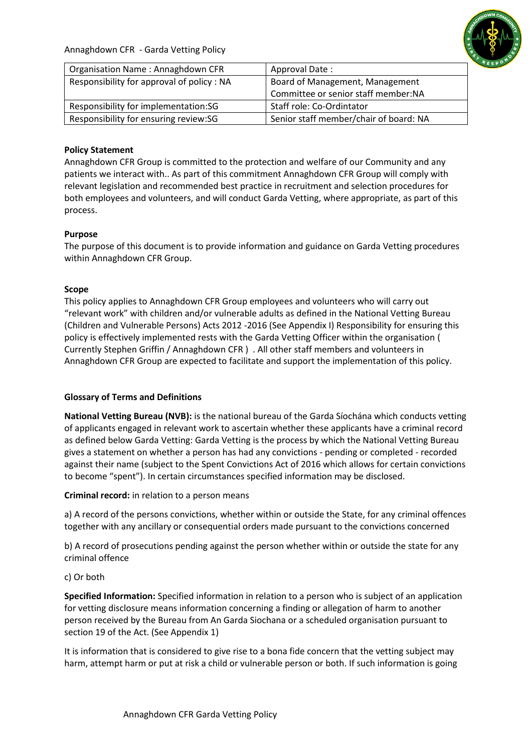Annaghdown CFR - Garda Vetting Policy



| Organisation Name: Annaghdown CFR         | Approval Date:                         |
|-------------------------------------------|----------------------------------------|
| Responsibility for approval of policy: NA | Board of Management, Management        |
|                                           | Committee or senior staff member:NA    |
| Responsibility for implementation:SG      | Staff role: Co-Ordintator              |
| Responsibility for ensuring review:SG     | Senior staff member/chair of board: NA |

# **Policy Statement**

Annaghdown CFR Group is committed to the protection and welfare of our Community and any patients we interact with.. As part of this commitment Annaghdown CFR Group will comply with relevant legislation and recommended best practice in recruitment and selection procedures for both employees and volunteers, and will conduct Garda Vetting, where appropriate, as part of this process.

## **Purpose**

The purpose of this document is to provide information and guidance on Garda Vetting procedures within Annaghdown CFR Group.

## **Scope**

This policy applies to Annaghdown CFR Group employees and volunteers who will carry out "relevant work" with children and/or vulnerable adults as defined in the National Vetting Bureau (Children and Vulnerable Persons) Acts 2012 -2016 (See Appendix I) Responsibility for ensuring this policy is effectively implemented rests with the Garda Vetting Officer within the organisation ( Currently Stephen Griffin / Annaghdown CFR ) . All other staff members and volunteers in Annaghdown CFR Group are expected to facilitate and support the implementation of this policy.

# **Glossary of Terms and Definitions**

**National Vetting Bureau (NVB):** is the national bureau of the Garda Síochána which conducts vetting of applicants engaged in relevant work to ascertain whether these applicants have a criminal record as defined below Garda Vetting: Garda Vetting is the process by which the National Vetting Bureau gives a statement on whether a person has had any convictions - pending or completed - recorded against their name (subject to the Spent Convictions Act of 2016 which allows for certain convictions to become "spent"). In certain circumstances specified information may be disclosed.

**Criminal record:** in relation to a person means

a) A record of the persons convictions, whether within or outside the State, for any criminal offences together with any ancillary or consequential orders made pursuant to the convictions concerned

b) A record of prosecutions pending against the person whether within or outside the state for any criminal offence

#### c) Or both

**Specified Information:** Specified information in relation to a person who is subject of an application for vetting disclosure means information concerning a finding or allegation of harm to another person received by the Bureau from An Garda Siochana or a scheduled organisation pursuant to section 19 of the Act. (See Appendix 1)

It is information that is considered to give rise to a bona fide concern that the vetting subject may harm, attempt harm or put at risk a child or vulnerable person or both. If such information is going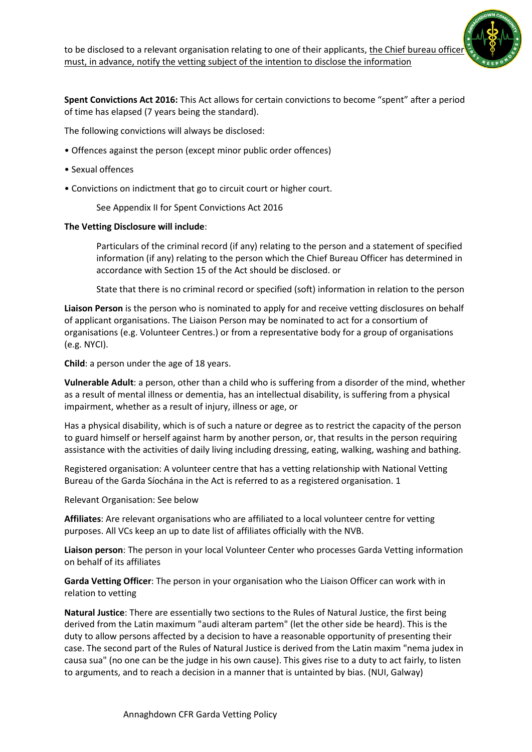**Spent Convictions Act 2016:** This Act allows for certain convictions to become "spent" after a period of time has elapsed (7 years being the standard).

The following convictions will always be disclosed:

- Offences against the person (except minor public order offences)
- Sexual offences
- Convictions on indictment that go to circuit court or higher court.
	- See Appendix II for Spent Convictions Act 2016

## **The Vetting Disclosure will include**:

Particulars of the criminal record (if any) relating to the person and a statement of specified information (if any) relating to the person which the Chief Bureau Officer has determined in accordance with Section 15 of the Act should be disclosed. or

State that there is no criminal record or specified (soft) information in relation to the person

**Liaison Person** is the person who is nominated to apply for and receive vetting disclosures on behalf of applicant organisations. The Liaison Person may be nominated to act for a consortium of organisations (e.g. Volunteer Centres.) or from a representative body for a group of organisations (e.g. NYCI).

**Child**: a person under the age of 18 years.

**Vulnerable Adult**: a person, other than a child who is suffering from a disorder of the mind, whether as a result of mental illness or dementia, has an intellectual disability, is suffering from a physical impairment, whether as a result of injury, illness or age, or

Has a physical disability, which is of such a nature or degree as to restrict the capacity of the person to guard himself or herself against harm by another person, or, that results in the person requiring assistance with the activities of daily living including dressing, eating, walking, washing and bathing.

Registered organisation: A volunteer centre that has a vetting relationship with National Vetting Bureau of the Garda Síochána in the Act is referred to as a registered organisation. 1

Relevant Organisation: See below

**Affiliates**: Are relevant organisations who are affiliated to a local volunteer centre for vetting purposes. All VCs keep an up to date list of affiliates officially with the NVB.

**Liaison person**: The person in your local Volunteer Center who processes Garda Vetting information on behalf of its affiliates

**Garda Vetting Officer**: The person in your organisation who the Liaison Officer can work with in relation to vetting

**Natural Justice**: There are essentially two sections to the Rules of Natural Justice, the first being derived from the Latin maximum "audi alteram partem" (let the other side be heard). This is the duty to allow persons affected by a decision to have a reasonable opportunity of presenting their case. The second part of the Rules of Natural Justice is derived from the Latin maxim "nema judex in causa sua" (no one can be the judge in his own cause). This gives rise to a duty to act fairly, to listen to arguments, and to reach a decision in a manner that is untainted by bias. (NUI, Galway)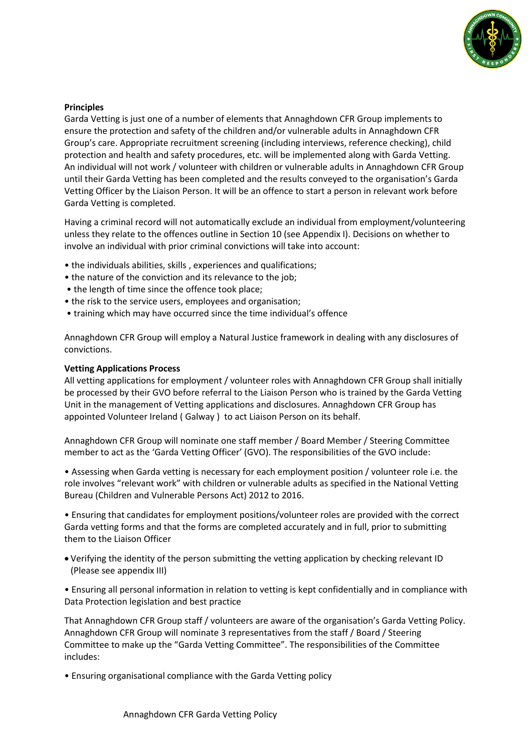

### **Principles**

Garda Vetting is just one of a number of elements that Annaghdown CFR Group implements to ensure the protection and safety of the children and/or vulnerable adults in Annaghdown CFR Group's care. Appropriate recruitment screening (including interviews, reference checking), child protection and health and safety procedures, etc. will be implemented along with Garda Vetting. An individual will not work / volunteer with children or vulnerable adults in Annaghdown CFR Group until their Garda Vetting has been completed and the results conveyed to the organisation's Garda Vetting Officer by the Liaison Person. It will be an offence to start a person in relevant work before Garda Vetting is completed.

Having a criminal record will not automatically exclude an individual from employment/volunteering unless they relate to the offences outline in Section 10 (see Appendix I). Decisions on whether to involve an individual with prior criminal convictions will take into account:

- the individuals abilities, skills , experiences and qualifications;
- the nature of the conviction and its relevance to the job;
- the length of time since the offence took place;
- the risk to the service users, employees and organisation;
- training which may have occurred since the time individual's offence

Annaghdown CFR Group will employ a Natural Justice framework in dealing with any disclosures of convictions.

#### **Vetting Applications Process**

All vetting applications for employment / volunteer roles with Annaghdown CFR Group shall initially be processed by their GVO before referral to the Liaison Person who is trained by the Garda Vetting Unit in the management of Vetting applications and disclosures. Annaghdown CFR Group has appointed Volunteer Ireland ( Galway ) to act Liaison Person on its behalf.

Annaghdown CFR Group will nominate one staff member / Board Member / Steering Committee member to act as the 'Garda Vetting Officer' (GVO). The responsibilities of the GVO include:

• Assessing when Garda vetting is necessary for each employment position / volunteer role i.e. the role involves "relevant work" with children or vulnerable adults as specified in the National Vetting Bureau (Children and Vulnerable Persons Act) 2012 to 2016.

• Ensuring that candidates for employment positions/volunteer roles are provided with the correct Garda vetting forms and that the forms are completed accurately and in full, prior to submitting them to the Liaison Officer

- Verifying the identity of the person submitting the vetting application by checking relevant ID (Please see appendix III)
- Ensuring all personal information in relation to vetting is kept confidentially and in compliance with Data Protection legislation and best practice

That Annaghdown CFR Group staff / volunteers are aware of the organisation's Garda Vetting Policy. Annaghdown CFR Group will nominate 3 representatives from the staff / Board / Steering Committee to make up the "Garda Vetting Committee". The responsibilities of the Committee includes:

• Ensuring organisational compliance with the Garda Vetting policy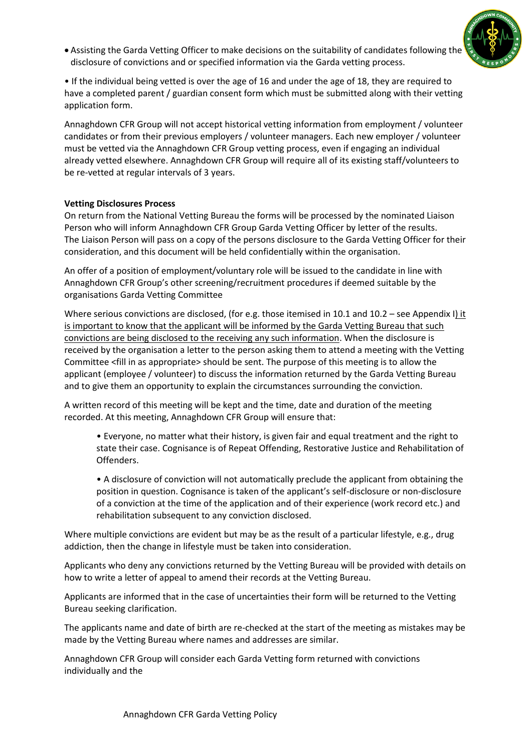• Assisting the Garda Vetting Officer to make decisions on the suitability of candidates following the disclosure of convictions and or specified information via the Garda vetting process.



• If the individual being vetted is over the age of 16 and under the age of 18, they are required to have a completed parent / guardian consent form which must be submitted along with their vetting application form.

Annaghdown CFR Group will not accept historical vetting information from employment / volunteer candidates or from their previous employers / volunteer managers. Each new employer / volunteer must be vetted via the Annaghdown CFR Group vetting process, even if engaging an individual already vetted elsewhere. Annaghdown CFR Group will require all of its existing staff/volunteers to be re-vetted at regular intervals of 3 years.

## **Vetting Disclosures Process**

On return from the National Vetting Bureau the forms will be processed by the nominated Liaison Person who will inform Annaghdown CFR Group Garda Vetting Officer by letter of the results. The Liaison Person will pass on a copy of the persons disclosure to the Garda Vetting Officer for their consideration, and this document will be held confidentially within the organisation.

An offer of a position of employment/voluntary role will be issued to the candidate in line with Annaghdown CFR Group's other screening/recruitment procedures if deemed suitable by the organisations Garda Vetting Committee

Where serious convictions are disclosed, (for e.g. those itemised in 10.1 and 10.2 – see Appendix I) it is important to know that the applicant will be informed by the Garda Vetting Bureau that such convictions are being disclosed to the receiving any such information. When the disclosure is received by the organisation a letter to the person asking them to attend a meeting with the Vetting Committee <fill in as appropriate> should be sent. The purpose of this meeting is to allow the applicant (employee / volunteer) to discuss the information returned by the Garda Vetting Bureau and to give them an opportunity to explain the circumstances surrounding the conviction.

A written record of this meeting will be kept and the time, date and duration of the meeting recorded. At this meeting, Annaghdown CFR Group will ensure that:

• Everyone, no matter what their history, is given fair and equal treatment and the right to state their case. Cognisance is of Repeat Offending, Restorative Justice and Rehabilitation of Offenders.

• A disclosure of conviction will not automatically preclude the applicant from obtaining the position in question. Cognisance is taken of the applicant's self-disclosure or non-disclosure of a conviction at the time of the application and of their experience (work record etc.) and rehabilitation subsequent to any conviction disclosed.

Where multiple convictions are evident but may be as the result of a particular lifestyle, e.g., drug addiction, then the change in lifestyle must be taken into consideration.

Applicants who deny any convictions returned by the Vetting Bureau will be provided with details on how to write a letter of appeal to amend their records at the Vetting Bureau.

Applicants are informed that in the case of uncertainties their form will be returned to the Vetting Bureau seeking clarification.

The applicants name and date of birth are re-checked at the start of the meeting as mistakes may be made by the Vetting Bureau where names and addresses are similar.

Annaghdown CFR Group will consider each Garda Vetting form returned with convictions individually and the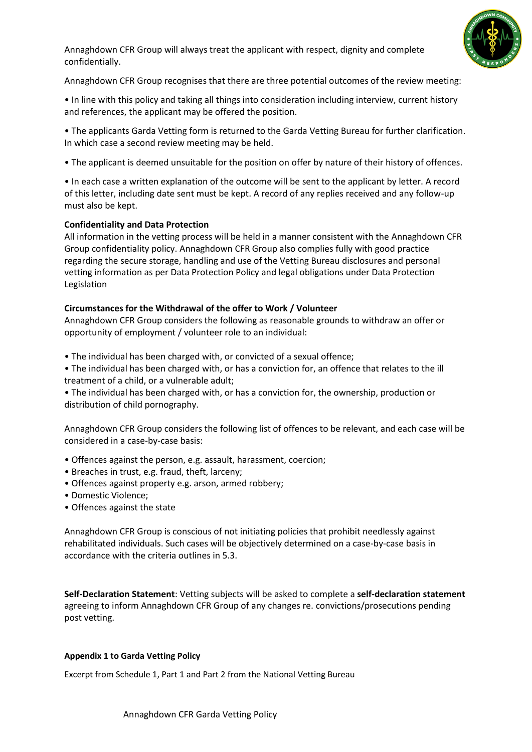



Annaghdown CFR Group recognises that there are three potential outcomes of the review meeting:

• In line with this policy and taking all things into consideration including interview, current history and references, the applicant may be offered the position.

- The applicants Garda Vetting form is returned to the Garda Vetting Bureau for further clarification. In which case a second review meeting may be held.
- The applicant is deemed unsuitable for the position on offer by nature of their history of offences.

• In each case a written explanation of the outcome will be sent to the applicant by letter. A record of this letter, including date sent must be kept. A record of any replies received and any follow-up must also be kept.

## **Confidentiality and Data Protection**

All information in the vetting process will be held in a manner consistent with the Annaghdown CFR Group confidentiality policy. Annaghdown CFR Group also complies fully with good practice regarding the secure storage, handling and use of the Vetting Bureau disclosures and personal vetting information as per Data Protection Policy and legal obligations under Data Protection Legislation

## **Circumstances for the Withdrawal of the offer to Work / Volunteer**

Annaghdown CFR Group considers the following as reasonable grounds to withdraw an offer or opportunity of employment / volunteer role to an individual:

- The individual has been charged with, or convicted of a sexual offence;
- The individual has been charged with, or has a conviction for, an offence that relates to the ill treatment of a child, or a vulnerable adult;
- The individual has been charged with, or has a conviction for, the ownership, production or distribution of child pornography.

Annaghdown CFR Group considers the following list of offences to be relevant, and each case will be considered in a case-by-case basis:

- Offences against the person, e.g. assault, harassment, coercion;
- Breaches in trust, e.g. fraud, theft, larceny;
- Offences against property e.g. arson, armed robbery;
- Domestic Violence;
- Offences against the state

Annaghdown CFR Group is conscious of not initiating policies that prohibit needlessly against rehabilitated individuals. Such cases will be objectively determined on a case-by-case basis in accordance with the criteria outlines in 5.3.

**Self-Declaration Statement**: Vetting subjects will be asked to complete a **self-declaration statement**  agreeing to inform Annaghdown CFR Group of any changes re. convictions/prosecutions pending post vetting.

#### **Appendix 1 to Garda Vetting Policy**

Excerpt from Schedule 1, Part 1 and Part 2 from the National Vetting Bureau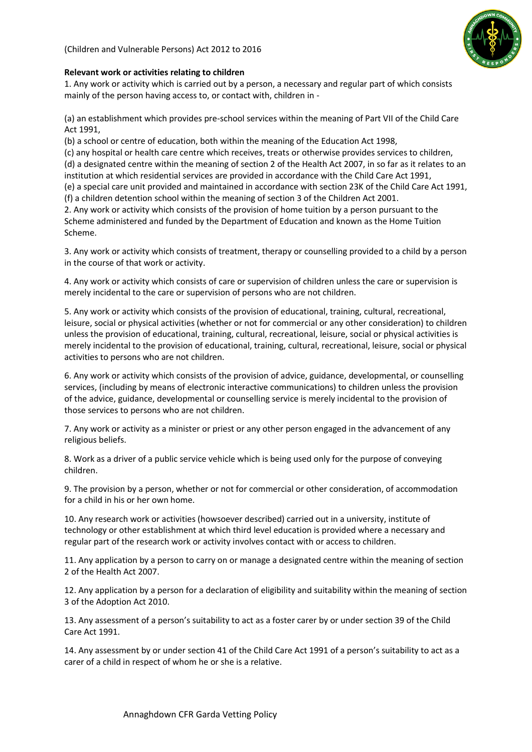

#### **Relevant work or activities relating to children**

1. Any work or activity which is carried out by a person, a necessary and regular part of which consists mainly of the person having access to, or contact with, children in -

(a) an establishment which provides pre-school services within the meaning of Part VII of the Child Care Act 1991,

(b) a school or centre of education, both within the meaning of the Education Act 1998,

(c) any hospital or health care centre which receives, treats or otherwise provides services to children, (d) a designated centre within the meaning of section 2 of the Health Act 2007, in so far as it relates to an

institution at which residential services are provided in accordance with the Child Care Act 1991,

(e) a special care unit provided and maintained in accordance with section 23K of the Child Care Act 1991, (f) a children detention school within the meaning of section 3 of the Children Act 2001.

2. Any work or activity which consists of the provision of home tuition by a person pursuant to the Scheme administered and funded by the Department of Education and known as the Home Tuition Scheme.

3. Any work or activity which consists of treatment, therapy or counselling provided to a child by a person in the course of that work or activity.

4. Any work or activity which consists of care or supervision of children unless the care or supervision is merely incidental to the care or supervision of persons who are not children.

5. Any work or activity which consists of the provision of educational, training, cultural, recreational, leisure, social or physical activities (whether or not for commercial or any other consideration) to children unless the provision of educational, training, cultural, recreational, leisure, social or physical activities is merely incidental to the provision of educational, training, cultural, recreational, leisure, social or physical activities to persons who are not children.

6. Any work or activity which consists of the provision of advice, guidance, developmental, or counselling services, (including by means of electronic interactive communications) to children unless the provision of the advice, guidance, developmental or counselling service is merely incidental to the provision of those services to persons who are not children.

7. Any work or activity as a minister or priest or any other person engaged in the advancement of any religious beliefs.

8. Work as a driver of a public service vehicle which is being used only for the purpose of conveying children.

9. The provision by a person, whether or not for commercial or other consideration, of accommodation for a child in his or her own home.

10. Any research work or activities (howsoever described) carried out in a university, institute of technology or other establishment at which third level education is provided where a necessary and regular part of the research work or activity involves contact with or access to children.

11. Any application by a person to carry on or manage a designated centre within the meaning of section 2 of the Health Act 2007.

12. Any application by a person for a declaration of eligibility and suitability within the meaning of section 3 of the Adoption Act 2010.

13. Any assessment of a person's suitability to act as a foster carer by or under section 39 of the Child Care Act 1991.

14. Any assessment by or under section 41 of the Child Care Act 1991 of a person's suitability to act as a carer of a child in respect of whom he or she is a relative.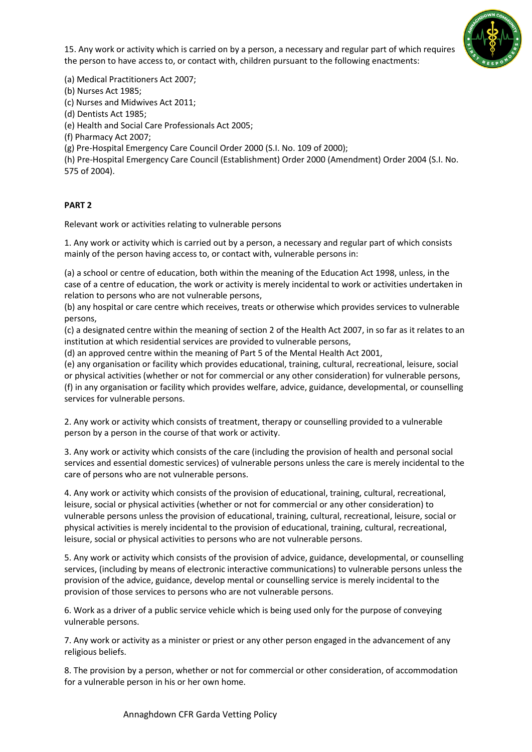



(a) Medical Practitioners Act 2007;

(b) Nurses Act 1985;

(c) Nurses and Midwives Act 2011;

(d) Dentists Act 1985;

(e) Health and Social Care Professionals Act 2005;

(f) Pharmacy Act 2007;

(g) Pre-Hospital Emergency Care Council Order 2000 (S.I. No. 109 of 2000);

(h) Pre-Hospital Emergency Care Council (Establishment) Order 2000 (Amendment) Order 2004 (S.I. No. 575 of 2004).

#### **PART 2**

Relevant work or activities relating to vulnerable persons

1. Any work or activity which is carried out by a person, a necessary and regular part of which consists mainly of the person having access to, or contact with, vulnerable persons in:

(a) a school or centre of education, both within the meaning of the Education Act 1998, unless, in the case of a centre of education, the work or activity is merely incidental to work or activities undertaken in relation to persons who are not vulnerable persons,

(b) any hospital or care centre which receives, treats or otherwise which provides services to vulnerable persons,

(c) a designated centre within the meaning of section 2 of the Health Act 2007, in so far as it relates to an institution at which residential services are provided to vulnerable persons,

(d) an approved centre within the meaning of Part 5 of the Mental Health Act 2001,

(e) any organisation or facility which provides educational, training, cultural, recreational, leisure, social or physical activities (whether or not for commercial or any other consideration) for vulnerable persons, (f) in any organisation or facility which provides welfare, advice, guidance, developmental, or counselling services for vulnerable persons.

2. Any work or activity which consists of treatment, therapy or counselling provided to a vulnerable person by a person in the course of that work or activity.

3. Any work or activity which consists of the care (including the provision of health and personal social services and essential domestic services) of vulnerable persons unless the care is merely incidental to the care of persons who are not vulnerable persons.

4. Any work or activity which consists of the provision of educational, training, cultural, recreational, leisure, social or physical activities (whether or not for commercial or any other consideration) to vulnerable persons unless the provision of educational, training, cultural, recreational, leisure, social or physical activities is merely incidental to the provision of educational, training, cultural, recreational, leisure, social or physical activities to persons who are not vulnerable persons.

5. Any work or activity which consists of the provision of advice, guidance, developmental, or counselling services, (including by means of electronic interactive communications) to vulnerable persons unless the provision of the advice, guidance, develop mental or counselling service is merely incidental to the provision of those services to persons who are not vulnerable persons.

6. Work as a driver of a public service vehicle which is being used only for the purpose of conveying vulnerable persons.

7. Any work or activity as a minister or priest or any other person engaged in the advancement of any religious beliefs.

8. The provision by a person, whether or not for commercial or other consideration, of accommodation for a vulnerable person in his or her own home.